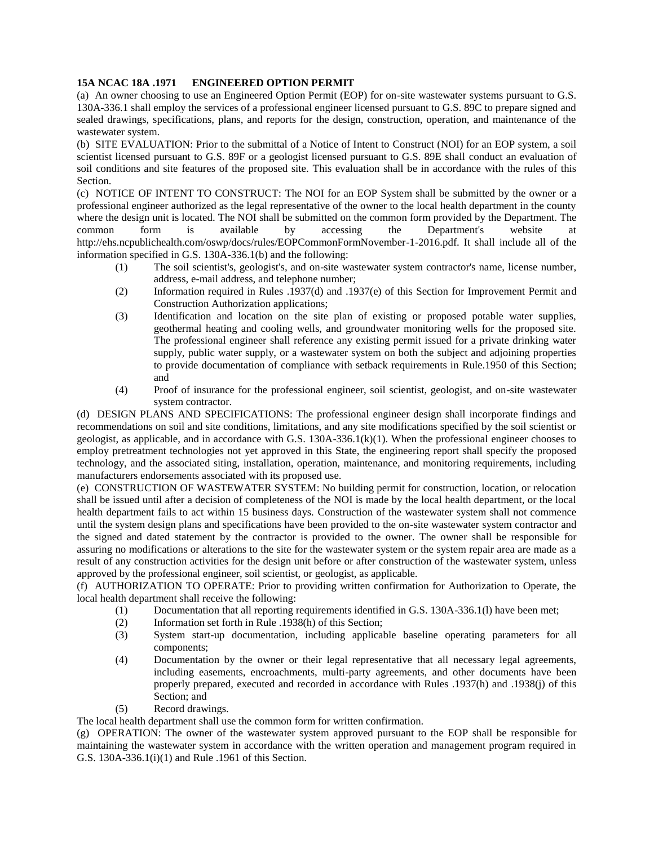## **15A NCAC 18A .1971 ENGINEERED OPTION PERMIT**

(a) An owner choosing to use an Engineered Option Permit (EOP) for on-site wastewater systems pursuant to G.S. 130A-336.1 shall employ the services of a professional engineer licensed pursuant to G.S. 89C to prepare signed and sealed drawings, specifications, plans, and reports for the design, construction, operation, and maintenance of the wastewater system.

(b) SITE EVALUATION: Prior to the submittal of a Notice of Intent to Construct (NOI) for an EOP system, a soil scientist licensed pursuant to G.S. 89F or a geologist licensed pursuant to G.S. 89E shall conduct an evaluation of soil conditions and site features of the proposed site. This evaluation shall be in accordance with the rules of this Section.

(c) NOTICE OF INTENT TO CONSTRUCT: The NOI for an EOP System shall be submitted by the owner or a professional engineer authorized as the legal representative of the owner to the local health department in the county where the design unit is located. The NOI shall be submitted on the common form provided by the Department. The common form is available by accessing the Department's website at http://ehs.ncpublichealth.com/oswp/docs/rules/EOPCommonFormNovember-1-2016.pdf. It shall include all of the information specified in G.S. 130A-336.1(b) and the following:

- (1) The soil scientist's, geologist's, and on-site wastewater system contractor's name, license number, address, e-mail address, and telephone number;
- (2) Information required in Rules .1937(d) and .1937(e) of this Section for Improvement Permit and Construction Authorization applications;
- (3) Identification and location on the site plan of existing or proposed potable water supplies, geothermal heating and cooling wells, and groundwater monitoring wells for the proposed site. The professional engineer shall reference any existing permit issued for a private drinking water supply, public water supply, or a wastewater system on both the subject and adjoining properties to provide documentation of compliance with setback requirements in Rule.1950 of this Section; and
- (4) Proof of insurance for the professional engineer, soil scientist, geologist, and on-site wastewater system contractor.

(d) DESIGN PLANS AND SPECIFICATIONS: The professional engineer design shall incorporate findings and recommendations on soil and site conditions, limitations, and any site modifications specified by the soil scientist or geologist, as applicable, and in accordance with G.S. 130A-336.1(k)(1). When the professional engineer chooses to employ pretreatment technologies not yet approved in this State, the engineering report shall specify the proposed technology, and the associated siting, installation, operation, maintenance, and monitoring requirements, including manufacturers endorsements associated with its proposed use.

(e) CONSTRUCTION OF WASTEWATER SYSTEM: No building permit for construction, location, or relocation shall be issued until after a decision of completeness of the NOI is made by the local health department, or the local health department fails to act within 15 business days. Construction of the wastewater system shall not commence until the system design plans and specifications have been provided to the on-site wastewater system contractor and the signed and dated statement by the contractor is provided to the owner. The owner shall be responsible for assuring no modifications or alterations to the site for the wastewater system or the system repair area are made as a result of any construction activities for the design unit before or after construction of the wastewater system, unless approved by the professional engineer, soil scientist, or geologist, as applicable.

(f) AUTHORIZATION TO OPERATE: Prior to providing written confirmation for Authorization to Operate, the local health department shall receive the following:

- (1) Documentation that all reporting requirements identified in G.S. 130A-336.1(l) have been met;
- (2) Information set forth in Rule .1938(h) of this Section;
- (3) System start-up documentation, including applicable baseline operating parameters for all components;
- (4) Documentation by the owner or their legal representative that all necessary legal agreements, including easements, encroachments, multi-party agreements, and other documents have been properly prepared, executed and recorded in accordance with Rules .1937(h) and .1938(j) of this Section; and
- (5) Record drawings.

The local health department shall use the common form for written confirmation.

(g) OPERATION: The owner of the wastewater system approved pursuant to the EOP shall be responsible for maintaining the wastewater system in accordance with the written operation and management program required in G.S. 130A-336.1(i)(1) and Rule .1961 of this Section.